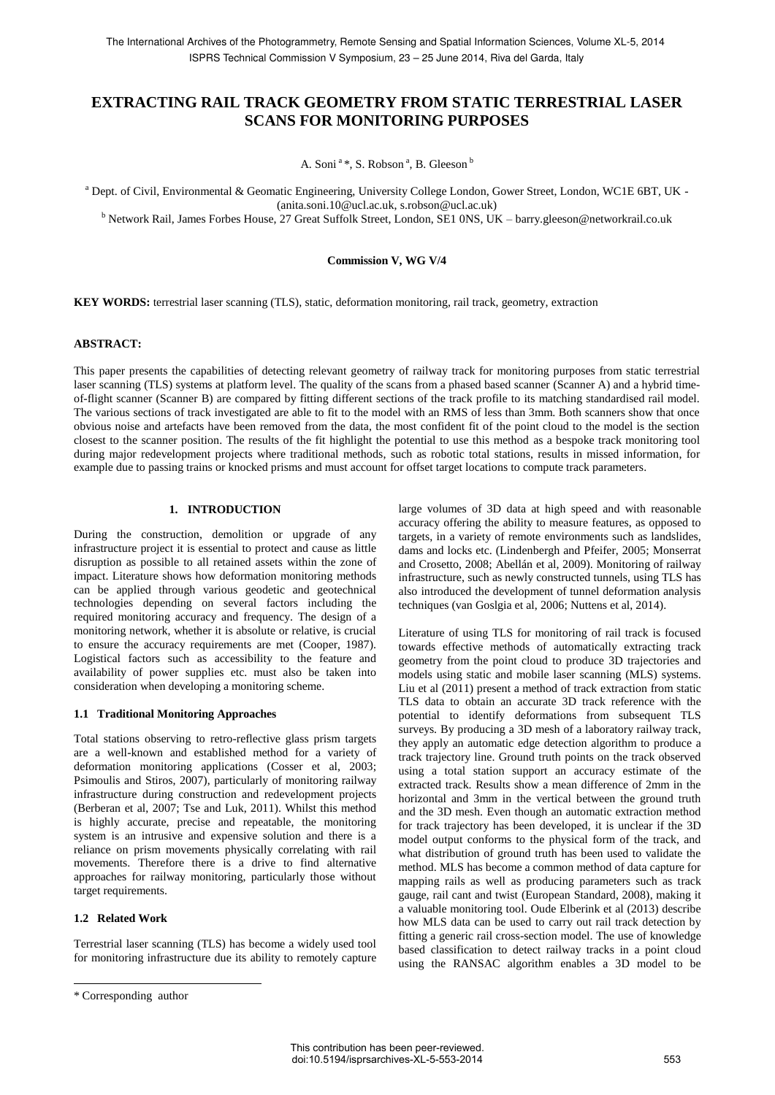# **EXTRACTING RAIL TRACK GEOMETRY FROM STATIC TERRESTRIAL LASER SCANS FOR MONITORING PURPOSES**

A. Soni<sup>a</sup>\*, S. Robson<sup>a</sup>, B. Gleeson<sup>b</sup>

<sup>a</sup> Dept. of Civil, Environmental & Geomatic Engineering, University College London, Gower Street, London, WC1E 6BT, UK - (anita.soni.10@ucl.ac.uk, s.robson@ucl.ac.uk)

<sup>b</sup> Network Rail, James Forbes House, 27 Great Suffolk Street, London, SE1 0NS, UK – barry.gleeson@networkrail.co.uk

#### **Commission V, WG V/4**

**KEY WORDS:** terrestrial laser scanning (TLS), static, deformation monitoring, rail track, geometry, extraction

#### **ABSTRACT:**

This paper presents the capabilities of detecting relevant geometry of railway track for monitoring purposes from static terrestrial laser scanning (TLS) systems at platform level. The quality of the scans from a phased based scanner (Scanner A) and a hybrid timeof-flight scanner (Scanner B) are compared by fitting different sections of the track profile to its matching standardised rail model. The various sections of track investigated are able to fit to the model with an RMS of less than 3mm. Both scanners show that once obvious noise and artefacts have been removed from the data, the most confident fit of the point cloud to the model is the section closest to the scanner position. The results of the fit highlight the potential to use this method as a bespoke track monitoring tool during major redevelopment projects where traditional methods, such as robotic total stations, results in missed information, for example due to passing trains or knocked prisms and must account for offset target locations to compute track parameters.

### **1. INTRODUCTION**

During the construction, demolition or upgrade of any infrastructure project it is essential to protect and cause as little disruption as possible to all retained assets within the zone of impact. Literature shows how deformation monitoring methods can be applied through various geodetic and geotechnical technologies depending on several factors including the required monitoring accuracy and frequency. The design of a monitoring network, whether it is absolute or relative, is crucial to ensure the accuracy requirements are met (Cooper, 1987). Logistical factors such as accessibility to the feature and availability of power supplies etc. must also be taken into consideration when developing a monitoring scheme.

#### **1.1 Traditional Monitoring Approaches**

Total stations observing to retro-reflective glass prism targets are a well-known and established method for a variety of deformation monitoring applications (Cosser et al. 2003; Psimoulis and Stiros, 2007), particularly of monitoring railway infrastructure during construction and redevelopment projects (Berberan et al, 2007; Tse and Luk, 2011). Whilst this method is highly accurate, precise and repeatable, the monitoring system is an intrusive and expensive solution and there is a reliance on prism movements physically correlating with rail movements. Therefore there is a drive to find alternative approaches for railway monitoring, particularly those without target requirements.

### **1.2 Related Work**

 $\overline{a}$ 

Terrestrial laser scanning (TLS) has become a widely used tool for monitoring infrastructure due its ability to remotely capture

large volumes of 3D data at high speed and with reasonable accuracy offering the ability to measure features, as opposed to targets, in a variety of remote environments such as landslides, dams and locks etc. (Lindenbergh and Pfeifer, 2005; Monserrat and Crosetto, 2008; Abellán et al, 2009). Monitoring of railway infrastructure, such as newly constructed tunnels, using TLS has also introduced the development of tunnel deformation analysis techniques (van Goslgia et al, 2006; Nuttens et al, 2014).

Literature of using TLS for monitoring of rail track is focused towards effective methods of automatically extracting track geometry from the point cloud to produce 3D trajectories and models using static and mobile laser scanning (MLS) systems. Liu et al (2011) present a method of track extraction from static TLS data to obtain an accurate 3D track reference with the potential to identify deformations from subsequent TLS surveys. By producing a 3D mesh of a laboratory railway track, they apply an automatic edge detection algorithm to produce a track trajectory line. Ground truth points on the track observed using a total station support an accuracy estimate of the extracted track. Results show a mean difference of 2mm in the horizontal and 3mm in the vertical between the ground truth and the 3D mesh. Even though an automatic extraction method for track trajectory has been developed, it is unclear if the 3D model output conforms to the physical form of the track, and what distribution of ground truth has been used to validate the method. MLS has become a common method of data capture for mapping rails as well as producing parameters such as track gauge, rail cant and twist (European Standard, 2008), making it a valuable monitoring tool. Oude Elberink et al (2013) describe how MLS data can be used to carry out rail track detection by fitting a generic rail cross-section model. The use of knowledge based classification to detect railway tracks in a point cloud using the RANSAC algorithm enables a 3D model to be

<sup>\*</sup> Corresponding author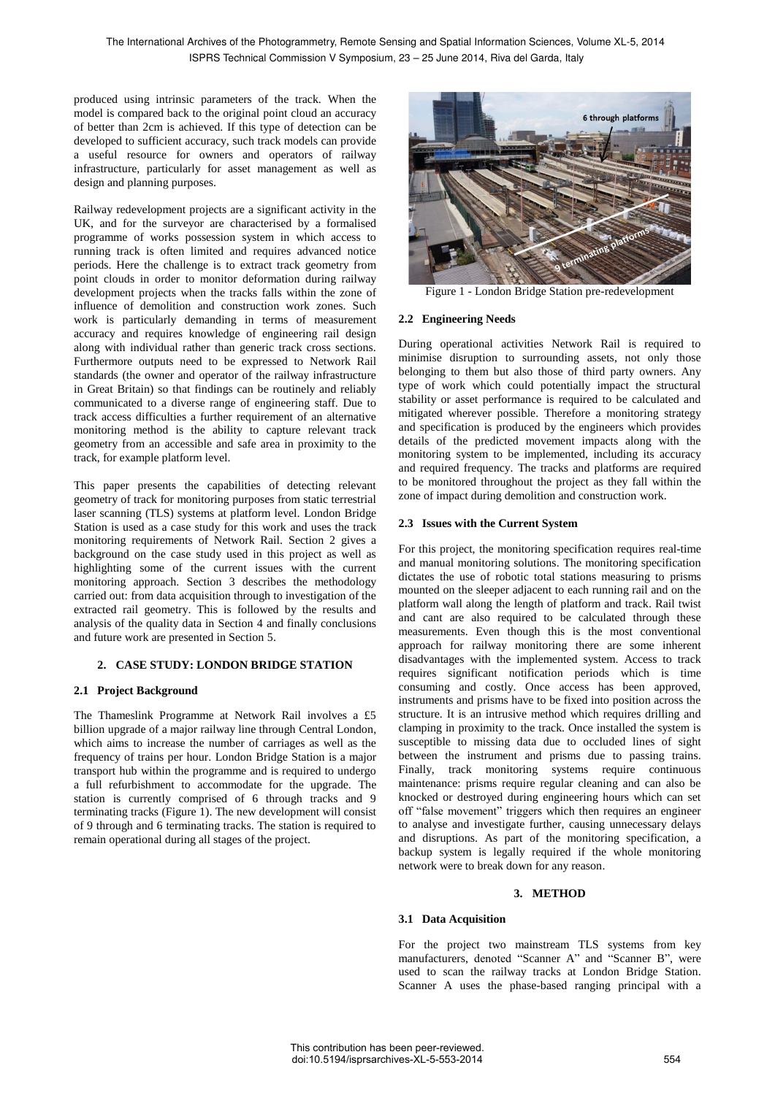produced using intrinsic parameters of the track. When the model is compared back to the original point cloud an accuracy of better than 2cm is achieved. If this type of detection can be developed to sufficient accuracy, such track models can provide a useful resource for owners and operators of railway infrastructure, particularly for asset management as well as design and planning purposes.

Railway redevelopment projects are a significant activity in the UK, and for the surveyor are characterised by a formalised programme of works possession system in which access to running track is often limited and requires advanced notice periods. Here the challenge is to extract track geometry from point clouds in order to monitor deformation during railway development projects when the tracks falls within the zone of influence of demolition and construction work zones. Such work is particularly demanding in terms of measurement accuracy and requires knowledge of engineering rail design along with individual rather than generic track cross sections. Furthermore outputs need to be expressed to Network Rail standards (the owner and operator of the railway infrastructure in Great Britain) so that findings can be routinely and reliably communicated to a diverse range of engineering staff. Due to track access difficulties a further requirement of an alternative monitoring method is the ability to capture relevant track geometry from an accessible and safe area in proximity to the track, for example platform level.

This paper presents the capabilities of detecting relevant geometry of track for monitoring purposes from static terrestrial laser scanning (TLS) systems at platform level. London Bridge Station is used as a case study for this work and uses the track monitoring requirements of Network Rail. Section 2 gives a background on the case study used in this project as well as highlighting some of the current issues with the current monitoring approach. Section 3 describes the methodology carried out: from data acquisition through to investigation of the extracted rail geometry. This is followed by the results and analysis of the quality data in Section 4 and finally conclusions and future work are presented in Section 5.

# **2. CASE STUDY: LONDON BRIDGE STATION**

# **2.1 Project Background**

The Thameslink Programme at Network Rail involves a £5 billion upgrade of a major railway line through Central London, which aims to increase the number of carriages as well as the frequency of trains per hour. London Bridge Station is a major transport hub within the programme and is required to undergo a full refurbishment to accommodate for the upgrade. The station is currently comprised of 6 through tracks and 9 terminating tracks (Figure 1). The new development will consist of 9 through and 6 terminating tracks. The station is required to remain operational during all stages of the project.



Figure 1 - London Bridge Station pre-redevelopment

### **2.2 Engineering Needs**

During operational activities Network Rail is required to minimise disruption to surrounding assets, not only those belonging to them but also those of third party owners. Any type of work which could potentially impact the structural stability or asset performance is required to be calculated and mitigated wherever possible. Therefore a monitoring strategy and specification is produced by the engineers which provides details of the predicted movement impacts along with the monitoring system to be implemented, including its accuracy and required frequency. The tracks and platforms are required to be monitored throughout the project as they fall within the zone of impact during demolition and construction work.

## **2.3 Issues with the Current System**

For this project, the monitoring specification requires real-time and manual monitoring solutions. The monitoring specification dictates the use of robotic total stations measuring to prisms mounted on the sleeper adjacent to each running rail and on the platform wall along the length of platform and track. Rail twist and cant are also required to be calculated through these measurements. Even though this is the most conventional approach for railway monitoring there are some inherent disadvantages with the implemented system. Access to track requires significant notification periods which is time consuming and costly. Once access has been approved, instruments and prisms have to be fixed into position across the structure. It is an intrusive method which requires drilling and clamping in proximity to the track. Once installed the system is susceptible to missing data due to occluded lines of sight between the instrument and prisms due to passing trains. Finally, track monitoring systems require continuous maintenance: prisms require regular cleaning and can also be knocked or destroyed during engineering hours which can set off "false movement" triggers which then requires an engineer to analyse and investigate further, causing unnecessary delays and disruptions. As part of the monitoring specification, a backup system is legally required if the whole monitoring network were to break down for any reason.

### **3. METHOD**

### **3.1 Data Acquisition**

For the project two mainstream TLS systems from key manufacturers, denoted "Scanner A" and "Scanner B", were used to scan the railway tracks at London Bridge Station. Scanner A uses the phase-based ranging principal with a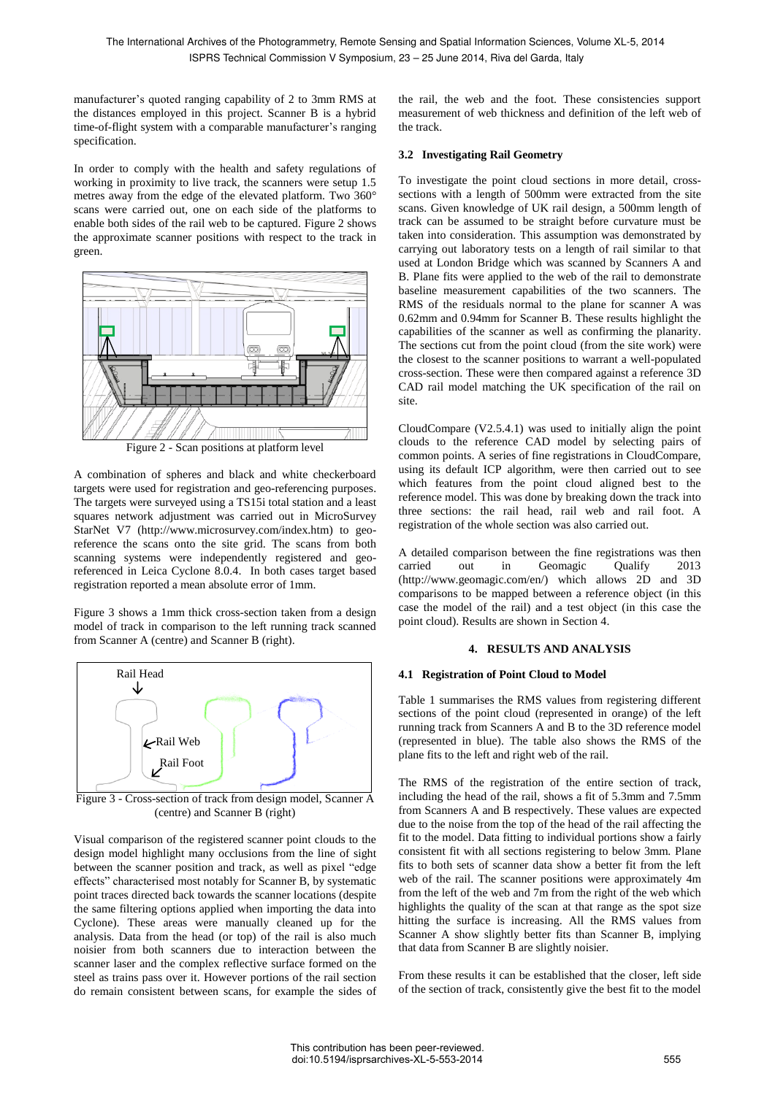manufacturer's quoted ranging capability of 2 to 3mm RMS at the distances employed in this project. Scanner B is a hybrid time-of-flight system with a comparable manufacturer's ranging specification.

In order to comply with the health and safety regulations of working in proximity to live track, the scanners were setup 1.5 metres away from the edge of the elevated platform. Two 360° scans were carried out, one on each side of the platforms to enable both sides of the rail web to be captured. Figure 2 shows the approximate scanner positions with respect to the track in green.



A combination of spheres and black and white checkerboard targets were used for registration and geo-referencing purposes. The targets were surveyed using a TS15i total station and a least squares network adjustment was carried out in MicroSurvey StarNet V7 (http://www.microsurvey.com/index.htm) to georeference the scans onto the site grid. The scans from both scanning systems were independently registered and georeferenced in Leica Cyclone 8.0.4. In both cases target based registration reported a mean absolute error of 1mm.

Figure 3 shows a 1mm thick cross-section taken from a design model of track in comparison to the left running track scanned from Scanner A (centre) and Scanner B (right).



Figure 3 - Cross-section of track from design model, Scanner A (centre) and Scanner B (right)

Visual comparison of the registered scanner point clouds to the design model highlight many occlusions from the line of sight between the scanner position and track, as well as pixel "edge effects" characterised most notably for Scanner B, by systematic point traces directed back towards the scanner locations (despite the same filtering options applied when importing the data into Cyclone). These areas were manually cleaned up for the analysis. Data from the head (or top) of the rail is also much noisier from both scanners due to interaction between the scanner laser and the complex reflective surface formed on the steel as trains pass over it. However portions of the rail section do remain consistent between scans, for example the sides of

the rail, the web and the foot. These consistencies support measurement of web thickness and definition of the left web of the track.

# **3.2 Investigating Rail Geometry**

To investigate the point cloud sections in more detail, crosssections with a length of 500mm were extracted from the site scans. Given knowledge of UK rail design, a 500mm length of track can be assumed to be straight before curvature must be taken into consideration. This assumption was demonstrated by carrying out laboratory tests on a length of rail similar to that used at London Bridge which was scanned by Scanners A and B. Plane fits were applied to the web of the rail to demonstrate baseline measurement capabilities of the two scanners. The RMS of the residuals normal to the plane for scanner A was 0.62mm and 0.94mm for Scanner B. These results highlight the capabilities of the scanner as well as confirming the planarity. The sections cut from the point cloud (from the site work) were the closest to the scanner positions to warrant a well-populated cross-section. These were then compared against a reference 3D CAD rail model matching the UK specification of the rail on site.

CloudCompare (V2.5.4.1) was used to initially align the point clouds to the reference CAD model by selecting pairs of common points. A series of fine registrations in CloudCompare, using its default ICP algorithm, were then carried out to see which features from the point cloud aligned best to the reference model. This was done by breaking down the track into three sections: the rail head, rail web and rail foot. A registration of the whole section was also carried out.

A detailed comparison between the fine registrations was then carried out in Geomagic Qualify 2013 (http://www.geomagic.com/en/) which allows 2D and 3D comparisons to be mapped between a reference object (in this case the model of the rail) and a test object (in this case the point cloud). Results are shown in Section 4.

### **4. RESULTS AND ANALYSIS**

### **4.1 Registration of Point Cloud to Model**

Table 1 summarises the RMS values from registering different sections of the point cloud (represented in orange) of the left running track from Scanners A and B to the 3D reference model (represented in blue). The table also shows the RMS of the plane fits to the left and right web of the rail.

The RMS of the registration of the entire section of track, including the head of the rail, shows a fit of 5.3mm and 7.5mm from Scanners A and B respectively. These values are expected due to the noise from the top of the head of the rail affecting the fit to the model. Data fitting to individual portions show a fairly consistent fit with all sections registering to below 3mm. Plane fits to both sets of scanner data show a better fit from the left web of the rail. The scanner positions were approximately 4m from the left of the web and 7m from the right of the web which highlights the quality of the scan at that range as the spot size hitting the surface is increasing. All the RMS values from Scanner A show slightly better fits than Scanner B, implying that data from Scanner B are slightly noisier.

From these results it can be established that the closer, left side of the section of track, consistently give the best fit to the model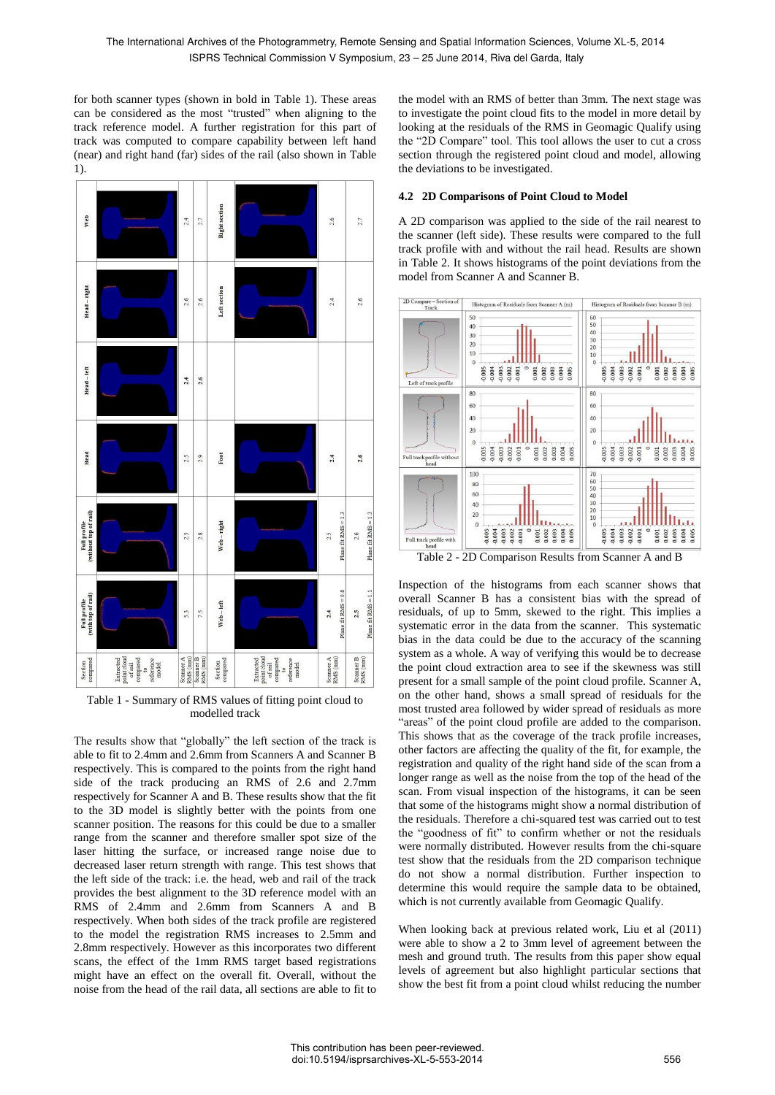for both scanner types (shown in bold in Table 1). These areas can be considered as the most "trusted" when aligning to the track reference model. A further registration for this part of track was computed to compare capability between left hand (near) and right hand (far) sides of the rail (also shown in Table 1).



Table 1 - Summary of RMS values of fitting point cloud to modelled track

The results show that "globally" the left section of the track is able to fit to 2.4mm and 2.6mm from Scanners A and Scanner B respectively. This is compared to the points from the right hand side of the track producing an RMS of 2.6 and 2.7mm respectively for Scanner A and B. These results show that the fit to the 3D model is slightly better with the points from one scanner position. The reasons for this could be due to a smaller range from the scanner and therefore smaller spot size of the laser hitting the surface, or increased range noise due to decreased laser return strength with range. This test shows that the left side of the track: i.e. the head, web and rail of the track provides the best alignment to the 3D reference model with an RMS of 2.4mm and 2.6mm from Scanners A and B respectively. When both sides of the track profile are registered to the model the registration RMS increases to 2.5mm and 2.8mm respectively. However as this incorporates two different scans, the effect of the 1mm RMS target based registrations might have an effect on the overall fit. Overall, without the noise from the head of the rail data, all sections are able to fit to the model with an RMS of better than 3mm. The next stage was to investigate the point cloud fits to the model in more detail by looking at the residuals of the RMS in Geomagic Qualify using the "2D Compare" tool. This tool allows the user to cut a cross section through the registered point cloud and model, allowing the deviations to be investigated.

#### **4.2 2D Comparisons of Point Cloud to Model**

A 2D comparison was applied to the side of the rail nearest to the scanner (left side). These results were compared to the full track profile with and without the rail head. Results are shown in Table 2. It shows histograms of the point deviations from the model from Scanner A and Scanner B.



Table 2 - 2D Comparison Results from Scanner A and B

Inspection of the histograms from each scanner shows that overall Scanner B has a consistent bias with the spread of residuals, of up to 5mm, skewed to the right. This implies a systematic error in the data from the scanner. This systematic bias in the data could be due to the accuracy of the scanning system as a whole. A way of verifying this would be to decrease the point cloud extraction area to see if the skewness was still present for a small sample of the point cloud profile. Scanner A, on the other hand, shows a small spread of residuals for the most trusted area followed by wider spread of residuals as more "areas" of the point cloud profile are added to the comparison. This shows that as the coverage of the track profile increases, other factors are affecting the quality of the fit, for example, the registration and quality of the right hand side of the scan from a longer range as well as the noise from the top of the head of the scan. From visual inspection of the histograms, it can be seen that some of the histograms might show a normal distribution of the residuals. Therefore a chi-squared test was carried out to test the "goodness of fit" to confirm whether or not the residuals were normally distributed. However results from the chi-square test show that the residuals from the 2D comparison technique do not show a normal distribution. Further inspection to determine this would require the sample data to be obtained, which is not currently available from Geomagic Qualify.

When looking back at previous related work, Liu et al (2011) were able to show a 2 to 3mm level of agreement between the mesh and ground truth. The results from this paper show equal levels of agreement but also highlight particular sections that show the best fit from a point cloud whilst reducing the number